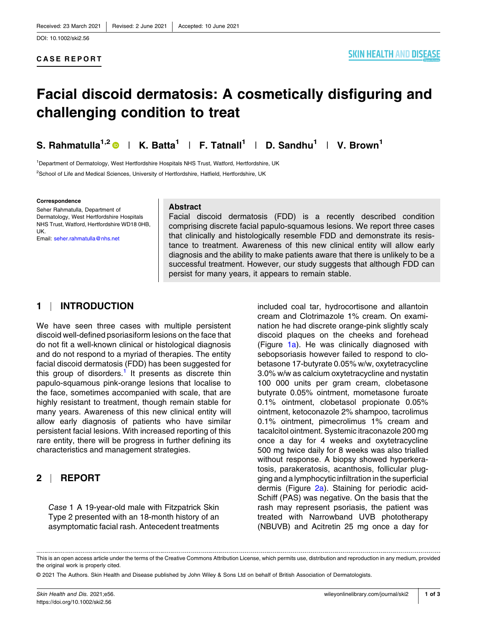# **Facial discoid dermatosis: A cosmetically disfiguring and challenging condition to treat**

**S.** Rahmatulla<sup>1,2</sup>  $\bullet$  | **K.** Batta<sup>1</sup> | **F.** Tatnall<sup>1</sup> | **D.** Sandhu<sup>1</sup> | **V.** Brown<sup>1</sup>

<sup>1</sup>Department of Dermatology, West Hertfordshire Hospitals NHS Trust, Watford, Hertfordshire, UK <sup>2</sup>School of Life and Medical Sciences, University of Hertfordshire, Hatfield, Hertfordshire, UK

#### **Correspondence**

Seher Rahmatulla, Department of Dermatology, West Hertfordshire Hospitals NHS Trust, Watford, Hertfordshire WD18 0HB, UK. Email: [seher.rahmatulla@nhs.net](mailto:seher.rahmatulla@nhs.net)

#### **Abstract**

Facial discoid dermatosis (FDD) is a recently described condition comprising discrete facial papulo‐squamous lesions. We report three cases that clinically and histologically resemble FDD and demonstrate its resistance to treatment. Awareness of this new clinical entity will allow early diagnosis and the ability to make patients aware that there is unlikely to be a successful treatment. However, our study suggests that although FDD can persist for many years, it appears to remain stable.

## **1** | **INTRODUCTION**

We have seen three cases with multiple persistent discoid well‐defined psoriasiform lesions on the face that do not fit a well‐known clinical or histological diagnosis and do not respond to a myriad of therapies. The entity facial discoid dermatosis (FDD) has been suggested for this group of disorders.<sup>[1](#page-2-0)</sup> It presents as discrete thin papulo‐squamous pink‐orange lesions that localise to the face, sometimes accompanied with scale, that are highly resistant to treatment, though remain stable for many years. Awareness of this new clinical entity will allow early diagnosis of patients who have similar persistent facial lesions. With increased reporting of this rare entity, there will be progress in further defining its characteristics and management strategies.

## **2** | **REPORT**

*Case* 1 A 19‐year‐old male with Fitzpatrick Skin Type 2 presented with an 18‐month history of an asymptomatic facial rash. Antecedent treatments

included coal tar, hydrocortisone and allantoin cream and Clotrimazole 1% cream. On examination he had discrete orange‐pink slightly scaly discoid plaques on the cheeks and forehead (Figure [1a\)](#page-1-0). He was clinically diagnosed with sebopsoriasis however failed to respond to clobetasone 17‐butyrate 0.05% w/w, oxytetracycline 3.0% w/w as calcium oxytetracycline and nystatin 100 000 units per gram cream, clobetasone butyrate 0.05% ointment, mometasone furoate 0.1% ointment, clobetasol propionate 0.05% ointment, ketoconazole 2% shampoo, tacrolimus 0.1% ointment, pimecrolimus 1% cream and tacalcitol ointment. Systemic itraconazole 200 mg once a day for 4 weeks and oxytetracycline 500 mg twice daily for 8 weeks was also trialled without response. A biopsy showed hyperkeratosis, parakeratosis, acanthosis, follicular plugging and a lymphocytic infiltration in the superficial dermis (Figure [2a](#page-2-0)). Staining for periodic acid‐ Schiff (PAS) was negative. On the basis that the rash may represent psoriasis, the patient was treated with Narrowband UVB phototherapy (NBUVB) and Acitretin 25 mg once a day for

This is an open access article under the terms of the Creative Commons Attribution License, which permits use, distribution and reproduction in any medium, provided the original work is properly cited.

<sup>©</sup> 2021 The Authors. Skin Health and Disease published by John Wiley & Sons Ltd on behalf of British Association of Dermatologists.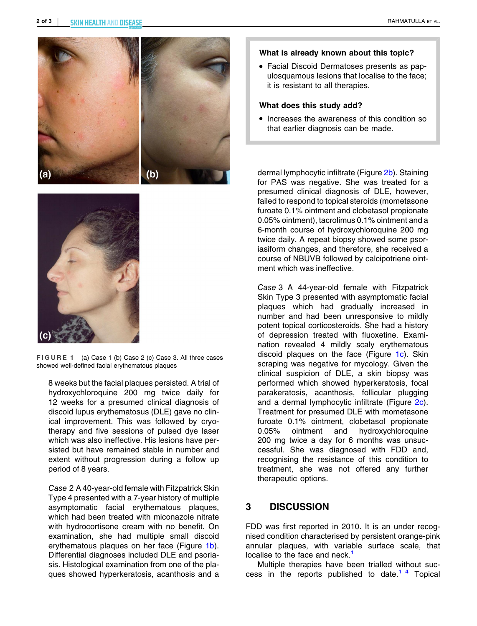<span id="page-1-0"></span>



**FIGURE 1** (a) Case 1 (b) Case 2 (c) Case 3. All three cases showed well‐defined facial erythematous plaques

8 weeks but the facial plaques persisted. A trial of hydroxychloroquine 200 mg twice daily for 12 weeks for a presumed clinical diagnosis of discoid lupus erythematosus (DLE) gave no clinical improvement. This was followed by cryotherapy and five sessions of pulsed dye laser which was also ineffective. His lesions have persisted but have remained stable in number and extent without progression during a follow up period of 8 years.

*Case* 2 A 40‐year‐old female with Fitzpatrick Skin Type 4 presented with a 7‐year history of multiple asymptomatic facial erythematous plaques, which had been treated with miconazole nitrate with hydrocortisone cream with no benefit. On examination, she had multiple small discoid erythematous plaques on her face (Figure 1b). Differential diagnoses included DLE and psoriasis. Histological examination from one of the plaques showed hyperkeratosis, acanthosis and a

#### **What is already known about this topic?**

� Facial Discoid Dermatoses presents as papulosquamous lesions that localise to the face; it is resistant to all therapies.

#### **What does this study add?**

� Increases the awareness of this condition so that earlier diagnosis can be made.

dermal lymphocytic infiltrate (Figure [2b\)](#page-2-0). Staining for PAS was negative. She was treated for a presumed clinical diagnosis of DLE, however, failed to respond to topical steroids (mometasone furoate 0.1% ointment and clobetasol propionate 0.05% ointment), tacrolimus 0.1% ointment and a 6‐month course of hydroxychloroquine 200 mg twice daily. A repeat biopsy showed some psoriasiform changes, and therefore, she received a course of NBUVB followed by calcipotriene ointment which was ineffective.

*Case* 3 A 44‐year‐old female with Fitzpatrick Skin Type 3 presented with asymptomatic facial plaques which had gradually increased in number and had been unresponsive to mildly potent topical corticosteroids. She had a history of depression treated with fluoxetine. Examination revealed 4 mildly scaly erythematous discoid plaques on the face (Figure 1c). Skin scraping was negative for mycology. Given the clinical suspicion of DLE, a skin biopsy was performed which showed hyperkeratosis, focal parakeratosis, acanthosis, follicular plugging and a dermal lymphocytic infiltrate (Figure [2c\)](#page-2-0). Treatment for presumed DLE with mometasone furoate 0.1% ointment, clobetasol propionate 0.05% ointment and hydroxychloroquine 200 mg twice a day for 6 months was unsuccessful. She was diagnosed with FDD and, recognising the resistance of this condition to treatment, she was not offered any further therapeutic options.

## **3** | **DISCUSSION**

FDD was first reported in 2010. It is an under recognised condition characterised by persistent orange‐pink annular plaques, with variable surface scale, that localise to the face and neck.<sup>[1](#page-2-0)</sup>

Multiple therapies have been trialled without success in the reports published to date. $1-4$  Topical